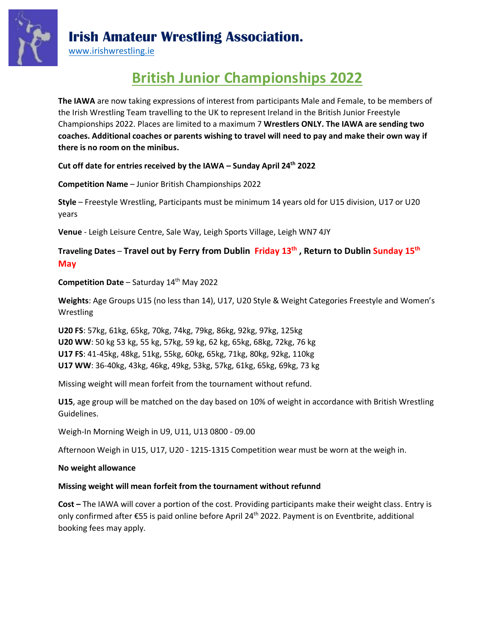

## **Irish Amateur Wrestling Association.**

[www.irishwrestling.ie](http://www.irishwrestling.ie/)

# **British Junior Championships 2022**

**The IAWA** are now taking expressions of interest from participants Male and Female, to be members of the Irish Wrestling Team travelling to the UK to represent Ireland in the British Junior Freestyle Championships 2022. Places are limited to a maximum 7 **Wrestlers ONLY. The IAWA are sending two coaches. Additional coaches or parents wishing to travel will need to pay and make their own way if there is no room on the minibus.**

**Cut off date for entries received by the IAWA – Sunday April 24th 2022**

**Competition Name** – Junior British Championships 2022

**Style** – Freestyle Wrestling, Participants must be minimum 14 years old for U15 division, U17 or U20 years

**Venue** - Leigh Leisure Centre, Sale Way, Leigh Sports Village, Leigh WN7 4JY

**Traveling Dates** – **Travel out by Ferry from Dublin Friday 13th , Return to Dublin Sunday 15th May**

**Competition Date** – Saturday 14 th May 2022

**Weights**: Age Groups U15 (no less than 14), U17, U20 Style & Weight Categories Freestyle and Women's Wrestling

**U20 FS**: 57kg, 61kg, 65kg, 70kg, 74kg, 79kg, 86kg, 92kg, 97kg, 125kg **U20 WW**: 50 kg 53 kg, 55 kg, 57kg, 59 kg, 62 kg, 65kg, 68kg, 72kg, 76 kg **U17 FS**: 41-45kg, 48kg, 51kg, 55kg, 60kg, 65kg, 71kg, 80kg, 92kg, 110kg **U17 WW**: 36-40kg, 43kg, 46kg, 49kg, 53kg, 57kg, 61kg, 65kg, 69kg, 73 kg

Missing weight will mean forfeit from the tournament without refund.

**U15**, age group will be matched on the day based on 10% of weight in accordance with British Wrestling Guidelines.

Weigh-In Morning Weigh in U9, U11, U13 0800 - 09.00

Afternoon Weigh in U15, U17, U20 - 1215-1315 Competition wear must be worn at the weigh in.

#### **No weight allowance**

## **Missing weight will mean forfeit from the tournament without refunnd**

**Cost –** The IAWA will cover a portion of the cost. Providing participants make their weight class. Entry is only confirmed after €55 is paid online before April 24<sup>th</sup> 2022. Payment is on Eventbrite, additional booking fees may apply.